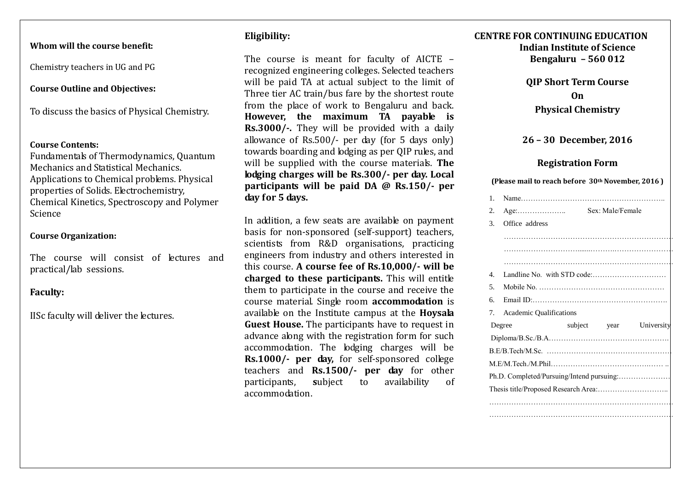## **Whom will the course benefit:**

Chemistry teachers in UG and PG

# **Course Outline and Objectives:**

To discuss the basics of Physical Chemistry.

### **Course Contents:**

Fundamentals of Thermodynamics, Quantum Mechanics and Statistical Mechanics. Applications to Chemical problems. Physical properties of Solids. Electrochemistry, Chemical Kinetics, Spectroscopy and Polymer Science

## **Course Organization:**

The course will consist of lectures and practical/lab sessions.

# **Faculty:**

IISc faculty will deliver the lectures.

# **Eligibility:**

The course is meant for faculty of AICTE recognized engineering colleges. Selected teachers will be paid TA at actual subject to the limit of Three tier AC train/bus fare by the shortest route from the place of work to Bengaluru and back. **However, the maximum TA payable is Rs.3000/-.** They will be provided with a daily allowance of Rs.500/- per day (for 5 days only) towards boarding and lodging as per QIP rules, and will be supplied with the course materials. **The lodging charges will be Rs.300/- per day. Local participants will be paid DA @ Rs.150/- per day for 5 days.** 

In addition, a few seats are available on payment basis for non-sponsored (self-support) teachers, scientists from R&D organisations, practicing engineers from industry and others interested in this course. **A course fee of Rs.10,000/- will be charged to these participants.** This will entitle them to participate in the course and receive the course material. Single room **accommodation** is available on the Institute campus at the **Hoysala Guest House.** The participants have to request in advance along with the registration form for such accommodation. The lodging charges will be **Rs.1000/- per day,** for self-sponsored college teachers and **Rs.1500/- per day** for other participants, **s**ubject to availability of accommodation.

# **CENTRE FOR CONTINUING EDUCATION Indian Institute of Science Bengaluru – 560 012**

**QIP Short Term Course On Physical Chemistry** 

# **26 – 30 December, 2016**

# **Registration Form**

#### **(Please mail to reach before 30th November, 2016 )**

|  | $\mathbf{1}$ .                            |                                                               |  |
|--|-------------------------------------------|---------------------------------------------------------------|--|
|  | 2.                                        | Sex: Male/Female<br>$Age: \ldots \ldots \ldots \ldots \ldots$ |  |
|  | 3.                                        | Office address                                                |  |
|  |                                           |                                                               |  |
|  |                                           |                                                               |  |
|  |                                           |                                                               |  |
|  | $\mathbf{4}$ .                            |                                                               |  |
|  | 5.                                        |                                                               |  |
|  | б.                                        |                                                               |  |
|  | $7_{\scriptscriptstyle{\circ}}$           | <b>Academic Qualifications</b>                                |  |
|  |                                           | subject year<br>University<br>Degree                          |  |
|  |                                           |                                                               |  |
|  |                                           |                                                               |  |
|  |                                           |                                                               |  |
|  | Ph.D. Completed/Pursuing/Intend pursuing: |                                                               |  |
|  |                                           |                                                               |  |
|  |                                           |                                                               |  |
|  |                                           |                                                               |  |

…………………………………………………………………